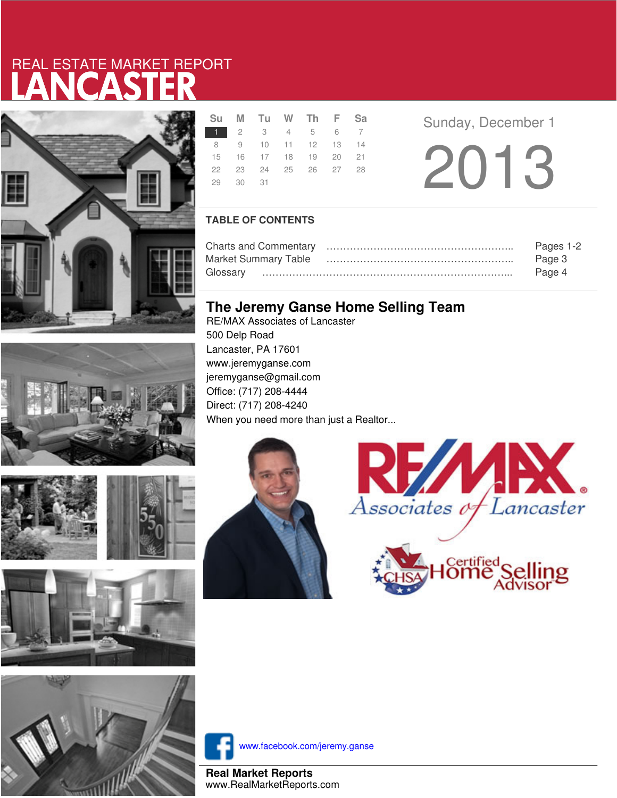# LANCASTER REAL ESTATE MARKET REPORT



|               |          | Su M Tu W Th F Sa    |  |  |
|---------------|----------|----------------------|--|--|
| 1 2 3 4 5 6 7 |          |                      |  |  |
|               |          | 8 9 10 11 12 13 14   |  |  |
|               |          | 15 16 17 18 19 20 21 |  |  |
|               |          | 22 23 24 25 26 27 28 |  |  |
|               | 29 30 31 |                      |  |  |

**R Example 3** Sunday, December 1

2013

### **TABLE OF CONTENTS**

|                             | Pages 1-2 |
|-----------------------------|-----------|
| <b>Market Summary Table</b> | Page 3    |
|                             | Page 4    |

## **The Jeremy Ganse Home Selling Team**

RE/MAX Associates of Lancaster 500 Delp Road Lancaster, PA 17601 www.jeremyganse.com jeremyganse@gmail.com Office: (717) 208-4444 Direct: (717) 208-4240 When you need more than just a Realtor...









www.facebook.com/jeremy.ganse

**Real Market Reports** www.RealMarketReports.com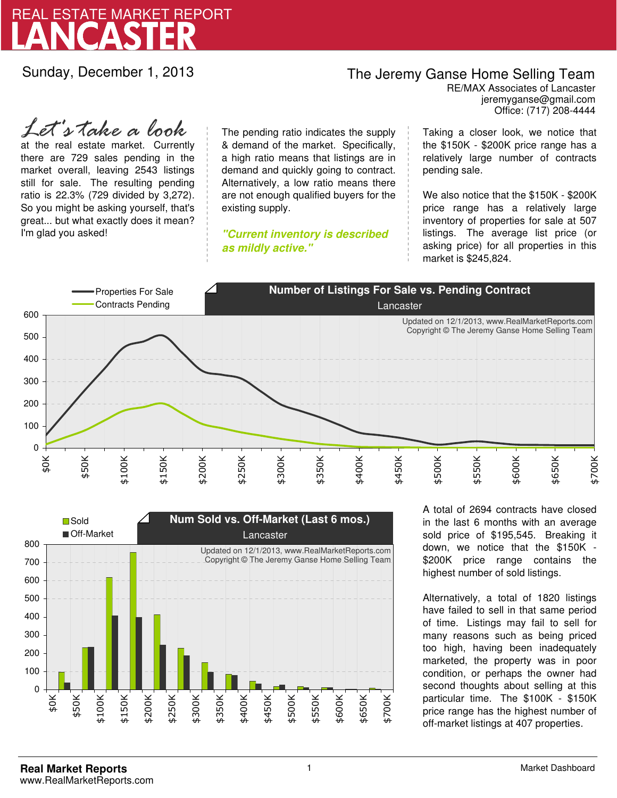

Sunday, December 1, 2013

## The Jeremy Ganse Home Selling Team

jeremyganse@gmail.com RE/MAX Associates of Lancaster Office: (717) 208-4444

at the real estate market. Currently there are 729 sales pending in the market overall, leaving 2543 listings still for sale. The resulting pending ratio is 22.3% (729 divided by 3,272). So you might be asking yourself, that's great... but what exactly does it mean? I'm glad you asked! *Let's take a look*

The pending ratio indicates the supply & demand of the market. Specifically, a high ratio means that listings are in demand and quickly going to contract. Alternatively, a low ratio means there are not enough qualified buyers for the existing supply.

**"Current inventory is described as mildly active."**

Taking a closer look, we notice that the \$150K - \$200K price range has a relatively large number of contracts pending sale.

We also notice that the \$150K - \$200K price range has a relatively large inventory of properties for sale at 507 listings. The average list price (or asking price) for all properties in this market is \$245,824.





A total of 2694 contracts have closed in the last 6 months with an average sold price of \$195,545. Breaking it down, we notice that the \$150K - \$200K price range contains the highest number of sold listings.

Alternatively, a total of 1820 listings have failed to sell in that same period of time. Listings may fail to sell for many reasons such as being priced too high, having been inadequately marketed, the property was in poor condition, or perhaps the owner had second thoughts about selling at this particular time. The \$100K - \$150K price range has the highest number of off-market listings at 407 properties.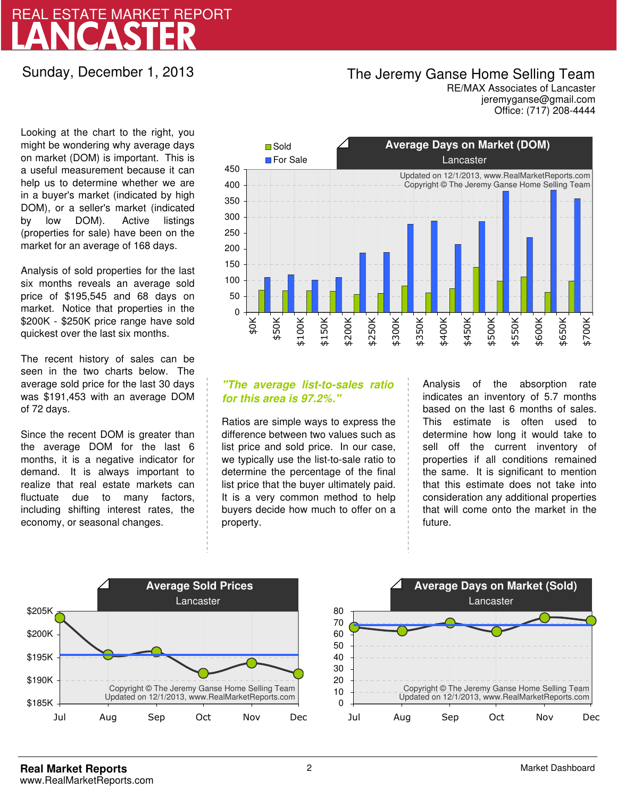# LANCASTER REAL ESTATE MARKET REPORT

Sunday, December 1, 2013

## The Jeremy Ganse Home Selling Team

jeremyganse@gmail.com RE/MAX Associates of Lancaster Office: (717) 208-4444

Looking at the chart to the right, you might be wondering why average days on market (DOM) is important. This is a useful measurement because it can help us to determine whether we are in a buyer's market (indicated by high DOM), or a seller's market (indicated by low DOM). Active listings (properties for sale) have been on the market for an average of 168 days.

Analysis of sold properties for the last six months reveals an average sold price of \$195,545 and 68 days on market. Notice that properties in the \$200K - \$250K price range have sold quickest over the last six months.

The recent history of sales can be seen in the two charts below. The average sold price for the last 30 days was \$191,453 with an average DOM of 72 days.

Since the recent DOM is greater than the average DOM for the last 6 months, it is a negative indicator for demand. It is always important to realize that real estate markets can fluctuate due to many factors, including shifting interest rates, the economy, or seasonal changes.



### **"The average list-to-sales ratio for this area is 97.2%."**

Ratios are simple ways to express the difference between two values such as list price and sold price. In our case, we typically use the list-to-sale ratio to determine the percentage of the final list price that the buyer ultimately paid. It is a very common method to help buyers decide how much to offer on a property.

Analysis of the absorption rate indicates an inventory of 5.7 months based on the last 6 months of sales. This estimate is often used to determine how long it would take to sell off the current inventory of properties if all conditions remained the same. It is significant to mention that this estimate does not take into consideration any additional properties that will come onto the market in the future.



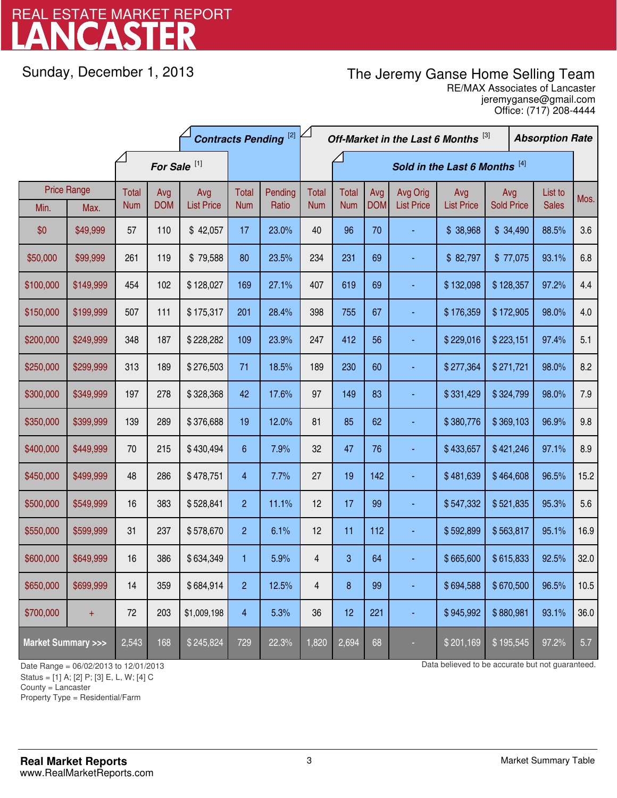# LANCASTER REAL ESTATE MARKET REPORT

Sunday, December 1, 2013

# The Jeremy Ganse Home Selling Team

jeremyganse@gmail.com RE/MAX Associates of Lancaster Office: (717) 208-4444

|                                    |                    | <b>Contracts Pending [2]</b> |            |                   |                | Off-Market in the Last 6 Months [3] |                         |              |            | <b>Absorption Rate</b> |                   |                   |  |              |      |
|------------------------------------|--------------------|------------------------------|------------|-------------------|----------------|-------------------------------------|-------------------------|--------------|------------|------------------------|-------------------|-------------------|--|--------------|------|
|                                    |                    | For Sale <sup>[1]</sup>      |            |                   |                | Sold in the Last 6 Months [4]       |                         |              |            |                        |                   |                   |  |              |      |
|                                    | <b>Price Range</b> | <b>Total</b>                 | Avg        | Avg               | Total          | Pending                             | <b>Total</b>            | <b>Total</b> | Avg        | Avg Orig               | Avg               | Avg               |  | List to      | Mos. |
| Min.                               | Max.               | <b>Num</b>                   | <b>DOM</b> | <b>List Price</b> | <b>Num</b>     | Ratio                               | <b>Num</b>              | <b>Num</b>   | <b>DOM</b> | <b>List Price</b>      | <b>List Price</b> | <b>Sold Price</b> |  | <b>Sales</b> |      |
| \$0                                | \$49,999           | 57                           | 110        | \$42,057          | 17             | 23.0%                               | 40                      | 96           | 70         |                        | \$38,968          | \$34,490          |  | 88.5%        | 3.6  |
| \$50,000                           | \$99,999           | 261                          | 119        | \$79,588          | 80             | 23.5%                               | 234                     | 231          | 69         |                        | \$82,797          | \$77,075          |  | 93.1%        | 6.8  |
| \$100,000                          | \$149,999          | 454                          | 102        | \$128,027         | 169            | 27.1%                               | 407                     | 619          | 69         |                        | \$132,098         | \$128,357         |  | 97.2%        | 4.4  |
| \$150,000                          | \$199,999          | 507                          | 111        | \$175,317         | 201            | 28.4%                               | 398                     | 755          | 67         |                        | \$176,359         | \$172,905         |  | 98.0%        | 4.0  |
| \$200,000                          | \$249,999          | 348                          | 187        | \$228,282         | 109            | 23.9%                               | 247                     | 412          | 56         |                        | \$229,016         | \$223,151         |  | 97.4%        | 5.1  |
| \$250,000                          | \$299,999          | 313                          | 189        | \$276,503         | 71             | 18.5%                               | 189                     | 230          | 60         |                        | \$277,364         | \$271,721         |  | 98.0%        | 8.2  |
| \$300,000                          | \$349,999          | 197                          | 278        | \$328,368         | 42             | 17.6%                               | 97                      | 149          | 83         |                        | \$331,429         | \$324,799         |  | 98.0%        | 7.9  |
| \$350,000                          | \$399,999          | 139                          | 289        | \$376,688         | 19             | 12.0%                               | 81                      | 85           | 62         |                        | \$380,776         | \$369,103         |  | 96.9%        | 9.8  |
| \$400,000                          | \$449,999          | 70                           | 215        | \$430,494         | 6              | 7.9%                                | 32                      | 47           | 76         |                        | \$433,657         | \$421,246         |  | 97.1%        | 8.9  |
| \$450,000                          | \$499,999          | 48                           | 286        | \$478,751         | 4              | 7.7%                                | 27                      | 19           | 142        |                        | \$481,639         | \$464,608         |  | 96.5%        | 15.2 |
| \$500,000                          | \$549,999          | 16                           | 383        | \$528,841         | $\overline{2}$ | 11.1%                               | 12                      | 17           | 99         |                        | \$547,332         | \$521,835         |  | 95.3%        | 5.6  |
| \$550,000                          | \$599,999          | 31                           | 237        | \$578,670         | $\overline{2}$ | 6.1%                                | 12                      | 11           | 112        |                        | \$592,899         | \$563,817         |  | 95.1%        | 16.9 |
| \$600,000                          | \$649,999          | 16                           | 386        | \$634,349         | 1              | 5.9%                                | 4                       | 3            | 64         |                        | \$665,600         | \$615,833         |  | 92.5%        | 32.0 |
| \$650,000                          | \$699,999          | 14                           | 359        | \$684,914         | $\overline{2}$ | 12.5%                               | $\overline{\mathbf{4}}$ | 8            | 99         |                        | \$694,588         | \$670,500         |  | 96.5%        | 10.5 |
| \$700,000                          | $\ddot{}$          | 72                           | 203        | \$1,009,198       | 4              | 5.3%                                | 36                      | 12           | 221        |                        | \$945,992         | \$880,981         |  | 93.1%        | 36.0 |
| <b>Market Summary &gt;&gt;&gt;</b> |                    | 2,543                        | 168        | \$245,824         | 729            | 22.3%                               | 1,820                   | 2,694        | 68         |                        | \$201,169         | \$195,545         |  | 97.2%        | 5.7  |

Status = [1] A; [2] P; [3] E, L, W; [4] C

County = Lancaster

-

Property Type = Residential/Farm

Date Range = 06/02/2013 to 12/01/2013 Data believed to be accurate but not guaranteed.